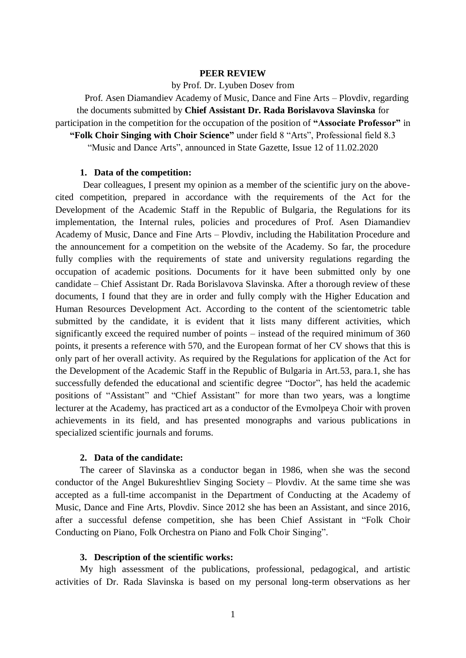## **PEER REVIEW**

### by Prof. Dr. Lyuben Dosev from

Prof. Asen Diamandiev Academy of Music, Dance and Fine Arts – Plovdiv, regarding the documents submitted by **Chief Assistant Dr. Rada Borislavova Slavinska** for participation in the competition for the occupation of the position of **"Associate Professor"** in

**"Folk Choir Singing with Choir Science"** under field 8 "Arts", Professional field 8.3

"Music and Dance Arts", announced in State Gazette, Issue 12 of 11.02.2020

#### **1. Data of the competition:**

Dear colleagues, I present my opinion as a member of the scientific jury on the abovecited competition, prepared in accordance with the requirements of the Act for the Development of the Academic Staff in the Republic of Bulgaria, the Regulations for its implementation, the Internal rules, policies and procedures of Prof. Asen Diamandiev Academy of Music, Dance and Fine Arts – Plovdiv, including the Habilitation Procedure and the announcement for a competition on the website of the Academy. So far, the procedure fully complies with the requirements of state and university regulations regarding the occupation of academic positions. Documents for it have been submitted only by one candidate – Chief Assistant Dr. Rada Borislavova Slavinska. After a thorough review of these documents, I found that they are in order and fully comply with the Higher Education and Human Resources Development Act. According to the content of the scientometric table submitted by the candidate, it is evident that it lists many different activities, which significantly exceed the required number of points – instead of the required minimum of 360 points, it presents a reference with 570, and the European format of her CV shows that this is only part of her overall activity. As required by the Regulations for application of the Act for the Development of the Academic Staff in the Republic of Bulgaria in Art.53, para.1, she has successfully defended the educational and scientific degree "Doctor", has held the academic positions of "Assistant" and "Chief Assistant" for more than two years, was a longtime lecturer at the Academy, has practiced art as a conductor of the Evmolpeya Choir with proven achievements in its field, and has presented monographs and various publications in specialized scientific journals and forums.

# **2. Data of the candidate:**

The career of Slavinska as a conductor began in 1986, when she was the second conductor of the Angel Bukureshtliev Singing Society – Plovdiv. At the same time she was accepted as a full-time accompanist in the Department of Conducting at the Academy of Music, Dance and Fine Arts, Plovdiv. Since 2012 she has been an Assistant, and since 2016, after a successful defense competition, she has been Chief Assistant in "Folk Choir Conducting on Piano, Folk Orchestra on Piano and Folk Choir Singing".

#### **3. Description of the scientific works:**

My high assessment of the publications, professional, pedagogical, and artistic activities of Dr. Rada Slavinska is based on my personal long-term observations as her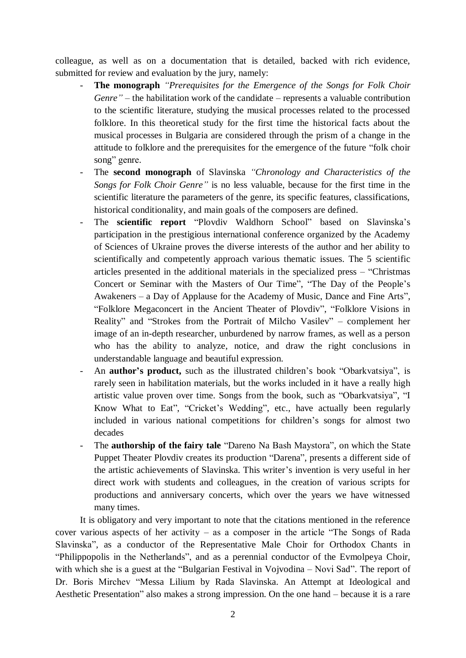colleague, as well as on a documentation that is detailed, backed with rich evidence, submitted for review and evaluation by the jury, namely:

- **The monograph** *"Prerequisites for the Emergence of the Songs for Folk Choir Genre"* – the habilitation work of the candidate – represents a valuable contribution to the scientific literature, studying the musical processes related to the processed folklore. In this theoretical study for the first time the historical facts about the musical processes in Bulgaria are considered through the prism of a change in the attitude to folklore and the prerequisites for the emergence of the future "folk choir song" genre.
- The **second monograph** of Slavinska *"Chronology and Characteristics of the Songs for Folk Choir Genre"* is no less valuable, because for the first time in the scientific literature the parameters of the genre, its specific features, classifications, historical conditionality, and main goals of the composers are defined.
- The **scientific report** "Plovdiv Waldhorn School" based on Slavinska's participation in the prestigious international conference organized by the Academy of Sciences of Ukraine proves the diverse interests of the author and her ability to scientifically and competently approach various thematic issues. The 5 scientific articles presented in the additional materials in the specialized press – "Christmas Concert or Seminar with the Masters of Our Time", "The Day of the People's Awakeners – a Day of Applause for the Academy of Music, Dance and Fine Arts", "Folklore Megaconcert in the Ancient Theater of Plovdiv", "Folklore Visions in Reality" and "Strokes from the Portrait of Milcho Vasilev" – complement her image of an in-depth researcher, unburdened by narrow frames, as well as a person who has the ability to analyze, notice, and draw the right conclusions in understandable language and beautiful expression.
- An **author's product,** such as the illustrated children's book "Obarkvatsiya", is rarely seen in habilitation materials, but the works included in it have a really high artistic value proven over time. Songs from the book, such as "Obarkvatsiya", "I Know What to Eat", "Cricket's Wedding", etc., have actually been regularly included in various national competitions for children's songs for almost two decades
- The **authorship of the fairy tale** "Dareno Na Bash Maystora", on which the State Puppet Theater Plovdiv creates its production "Darena", presents a different side of the artistic achievements of Slavinska. This writer's invention is very useful in her direct work with students and colleagues, in the creation of various scripts for productions and anniversary concerts, which over the years we have witnessed many times.

It is obligatory and very important to note that the citations mentioned in the reference cover various aspects of her activity – as a composer in the article "The Songs of Rada Slavinska", as a conductor of the Representative Male Choir for Orthodox Chants in "Philippopolis in the Netherlands", and as a perennial conductor of the Evmolpeya Choir, with which she is a guest at the "Bulgarian Festival in Vojvodina – Novi Sad". The report of Dr. Boris Mirchev "Messa Lilium by Rada Slavinska. An Attempt at Ideological and Aesthetic Presentation" also makes a strong impression. On the one hand – because it is a rare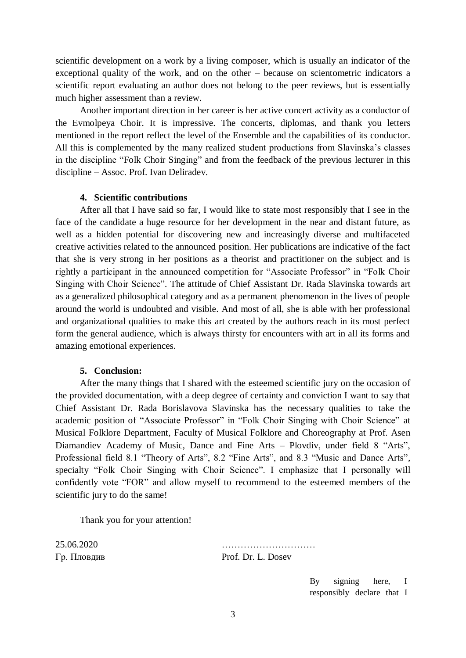scientific development on a work by a living composer, which is usually an indicator of the exceptional quality of the work, and on the other – because on scientometric indicators a scientific report evaluating an author does not belong to the peer reviews, but is essentially much higher assessment than a review.

Another important direction in her career is her active concert activity as a conductor of the Evmolpeya Choir. It is impressive. The concerts, diplomas, and thank you letters mentioned in the report reflect the level of the Ensemble and the capabilities of its conductor. All this is complemented by the many realized student productions from Slavinska's classes in the discipline "Folk Choir Singing" and from the feedback of the previous lecturer in this discipline – Assoc. Prof. Ivan Deliradev.

# **4. Scientific contributions**

After all that I have said so far, I would like to state most responsibly that I see in the face of the candidate a huge resource for her development in the near and distant future, as well as a hidden potential for discovering new and increasingly diverse and multifaceted creative activities related to the announced position. Her publications are indicative of the fact that she is very strong in her positions as a theorist and practitioner on the subject and is rightly a participant in the announced competition for "Associate Professor" in "Folk Choir Singing with Choir Science". The attitude of Chief Assistant Dr. Rada Slavinska towards art as a generalized philosophical category and as a permanent phenomenon in the lives of people around the world is undoubted and visible. And most of all, she is able with her professional and organizational qualities to make this art created by the authors reach in its most perfect form the general audience, which is always thirsty for encounters with art in all its forms and amazing emotional experiences.

### **5. Conclusion:**

After the many things that I shared with the esteemed scientific jury on the occasion of the provided documentation, with a deep degree of certainty and conviction I want to say that Chief Assistant Dr. Rada Borislavova Slavinska has the necessary qualities to take the academic position of "Associate Professor" in "Folk Choir Singing with Choir Science" at Musical Folklore Department, Faculty of Musical Folklore and Choreography at Prof. Asen Diamandiev Academy of Music, Dance and Fine Arts – Plovdiv, under field 8 "Arts", Professional field 8.1 "Theory of Arts", 8.2 "Fine Arts", and 8.3 "Music and Dance Arts", specialty "Folk Choir Singing with Choir Science". I emphasize that I personally will confidently vote "FOR" and allow myself to recommend to the esteemed members of the scientific jury to do the same!

Thank you for your attention!

25.06.2020 ………………………… Гр. Пловдив Prof. Dr. L. Dosev

> By signing here, I responsibly declare that I